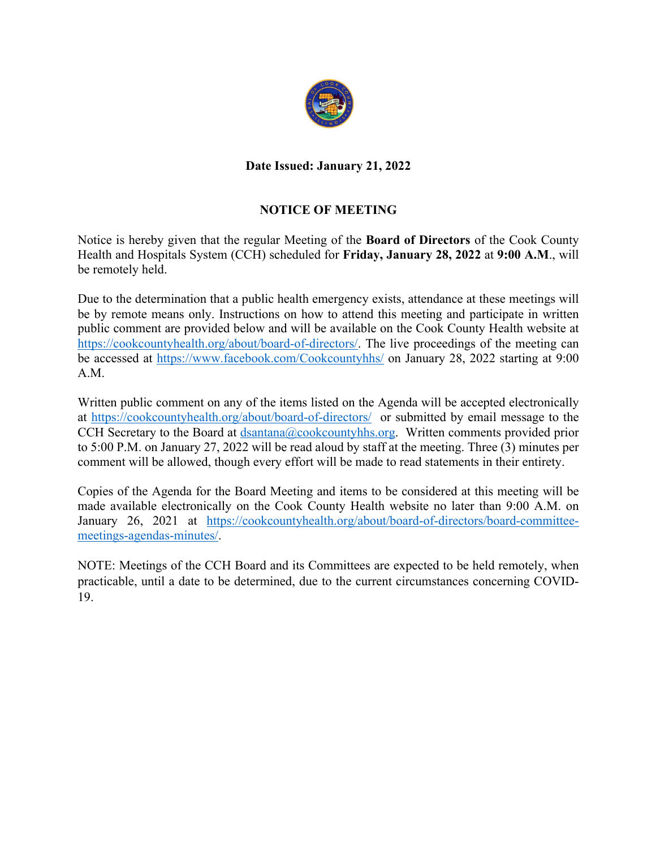

# **Date Issued: January 21, 2022**

# **NOTICE OF MEETING**

Notice is hereby given that the regular Meeting of the **Board of Directors** of the Cook County Health and Hospitals System (CCH) scheduled for **Friday, January 28, 2022** at **9:00 A.M**., will be remotely held.

Due to the determination that a public health emergency exists, attendance at these meetings will be by remote means only. Instructions on how to attend this meeting and participate in written public comment are provided below and will be available on the Cook County Health website at https://cookcountyhealth.org/about/board-of-directors/. The live proceedings of the meeting can be accessed at https://www.facebook.com/Cookcountyhhs/ on January 28, 2022 starting at 9:00 A.M.

Written public comment on any of the items listed on the Agenda will be accepted electronically at https://cookcountyhealth.org/about/board-of-directors/ or submitted by email message to the CCH Secretary to the Board at dsantana@cookcountyhhs.org. Written comments provided prior to 5:00 P.M. on January 27, 2022 will be read aloud by staff at the meeting. Three (3) minutes per comment will be allowed, though every effort will be made to read statements in their entirety.

Copies of the Agenda for the Board Meeting and items to be considered at this meeting will be made available electronically on the Cook County Health website no later than 9:00 A.M. on January 26, 2021 at https://cookcountyhealth.org/about/board-of-directors/board-committeemeetings-agendas-minutes/.

NOTE: Meetings of the CCH Board and its Committees are expected to be held remotely, when practicable, until a date to be determined, due to the current circumstances concerning COVID-19.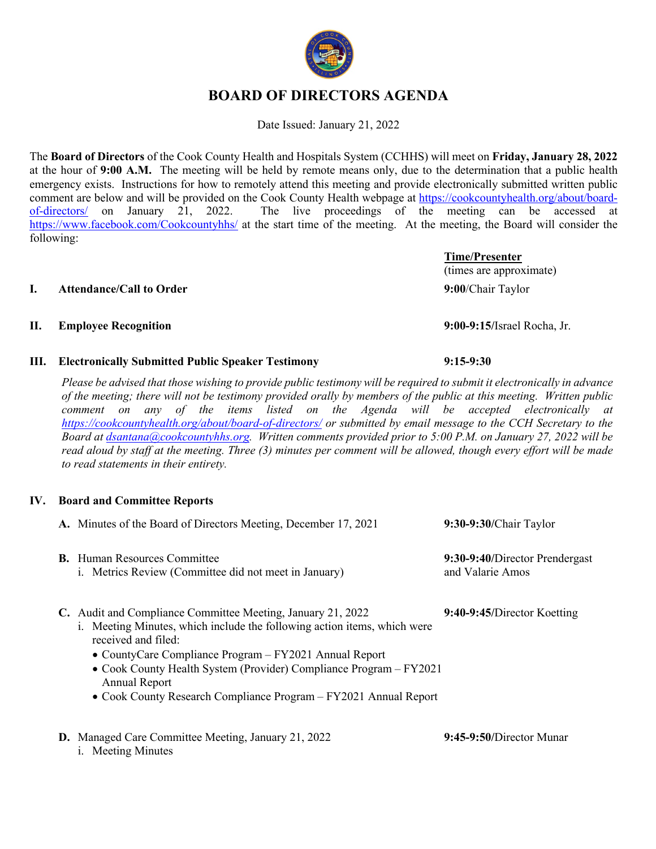# **BOARD OF DIRECTORS AGENDA**

Date Issued: January 21, 2022

The **Board of Directors** of the Cook County Health and Hospitals System (CCHHS) will meet on **Friday, January 28, 2022** at the hour of **9:00 A.M.** The meeting will be held by remote means only, due to the determination that a public health emergency exists. Instructions for how to remotely attend this meeting and provide electronically submitted written public comment are below and will be provided on the Cook County Health webpage at https://cookcountyhealth.org/about/boardof-directors/ on January 21, 2022. The live proceedings of the meeting can be accessed at https://www.facebook.com/Cookcountyhhs/ at the start time of the meeting. At the meeting, the Board will consider the following:

#### **I. Attendance/Call to Order 9:00**/Chair Taylor

### **II. Employee Recognition 9:00-9:15/**Israel Rocha, Jr.

**III. Electronically Submitted Public Speaker Testimony 9:15-9:30**

*Please be advised that those wishing to provide public testimony will be required to submit it electronically in advance of the meeting; there will not be testimony provided orally by members of the public at this meeting. Written public comment on any of the items listed on the Agenda will be accepted electronically at https://cookcountyhealth.org/about/board-of-directors/ or submitted by email message to the CCH Secretary to the Board at dsantana@cookcountyhhs.org. Written comments provided prior to 5:00 P.M. on January 27, 2022 will be read aloud by staff at the meeting. Three (3) minutes per comment will be allowed, though every effort will be made to read statements in their entirety.*

# **IV. Board and Committee Reports**

i. Meeting Minutes

| A. Minutes of the Board of Directors Meeting, December 17, 2021                                                                                                                                                                                                                                                                                                                             | 9:30-9:30/Chair Taylor                             |
|---------------------------------------------------------------------------------------------------------------------------------------------------------------------------------------------------------------------------------------------------------------------------------------------------------------------------------------------------------------------------------------------|----------------------------------------------------|
| <b>B.</b> Human Resources Committee<br>i. Metrics Review (Committee did not meet in January)                                                                                                                                                                                                                                                                                                | 9:30-9:40/Director Prendergast<br>and Valarie Amos |
| C. Audit and Compliance Committee Meeting, January 21, 2022<br>i. Meeting Minutes, which include the following action items, which were<br>received and filed:<br>• CountyCare Compliance Program $-FY2021$ Annual Report<br>• Cook County Health System (Provider) Compliance Program - FY2021<br><b>Annual Report</b><br>• Cook County Research Compliance Program – FY2021 Annual Report | 9:40-9:45/Director Koetting                        |
| <b>D.</b> Managed Care Committee Meeting, January 21, 2022                                                                                                                                                                                                                                                                                                                                  | $9:45-9:50/D$ irector Munar                        |



**Time/Presenter**

(times are approximate)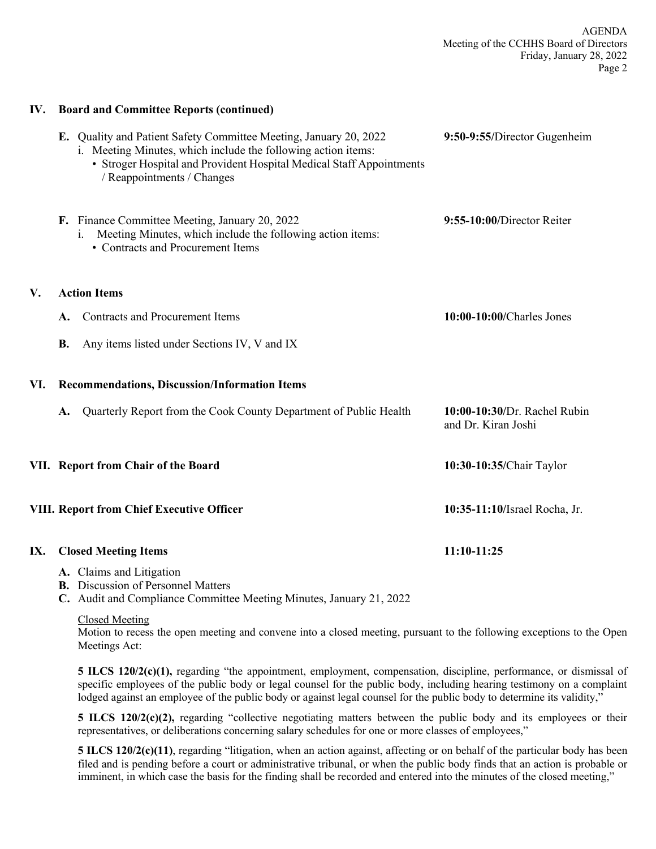#### **IV. Board and Committee Reports (continued)**

|     |           | E. Quality and Patient Safety Committee Meeting, January 20, 2022<br>i. Meeting Minutes, which include the following action items:<br>• Stroger Hospital and Provident Hospital Medical Staff Appointments<br>/ Reappointments / Changes | 9:50-9:55/Director Gugenheim                        |
|-----|-----------|------------------------------------------------------------------------------------------------------------------------------------------------------------------------------------------------------------------------------------------|-----------------------------------------------------|
|     |           | F. Finance Committee Meeting, January 20, 2022<br>Meeting Minutes, which include the following action items:<br>• Contracts and Procurement Items                                                                                        | 9:55-10:00/Director Reiter                          |
| V.  |           | <b>Action Items</b>                                                                                                                                                                                                                      |                                                     |
|     | A.        | <b>Contracts and Procurement Items</b>                                                                                                                                                                                                   | 10:00-10:00/Charles Jones                           |
|     | <b>B.</b> | Any items listed under Sections IV, V and IX                                                                                                                                                                                             |                                                     |
| VI. |           | <b>Recommendations, Discussion/Information Items</b>                                                                                                                                                                                     |                                                     |
|     | A.        | Quarterly Report from the Cook County Department of Public Health                                                                                                                                                                        | 10:00-10:30/Dr. Rachel Rubin<br>and Dr. Kiran Joshi |
|     |           | VII. Report from Chair of the Board                                                                                                                                                                                                      | 10:30-10:35/Chair Taylor                            |
|     |           | <b>VIII. Report from Chief Executive Officer</b>                                                                                                                                                                                         | 10:35-11:10/Israel Rocha, Jr.                       |
| IX. |           | <b>Closed Meeting Items</b>                                                                                                                                                                                                              | 11:10-11:25                                         |
|     |           | A. Claims and Litigation<br><b>B.</b> Discussion of Personnel Matters<br>21.2022                                                                                                                                                         |                                                     |

**C.** Audit and Compliance Committee Meeting Minutes, January 21, 2022

#### Closed Meeting

**V**.

Motion to recess the open meeting and convene into a closed meeting, pursuant to the following exceptions to the Open Meetings Act:

**5 ILCS 120/2(c)(1),** regarding "the appointment, employment, compensation, discipline, performance, or dismissal of specific employees of the public body or legal counsel for the public body, including hearing testimony on a complaint lodged against an employee of the public body or against legal counsel for the public body to determine its validity,"

**5 ILCS 120/2(c)(2),** regarding "collective negotiating matters between the public body and its employees or their representatives, or deliberations concerning salary schedules for one or more classes of employees,"

**5 ILCS 120/2(c)(11)**, regarding "litigation, when an action against, affecting or on behalf of the particular body has been filed and is pending before a court or administrative tribunal, or when the public body finds that an action is probable or imminent, in which case the basis for the finding shall be recorded and entered into the minutes of the closed meeting,"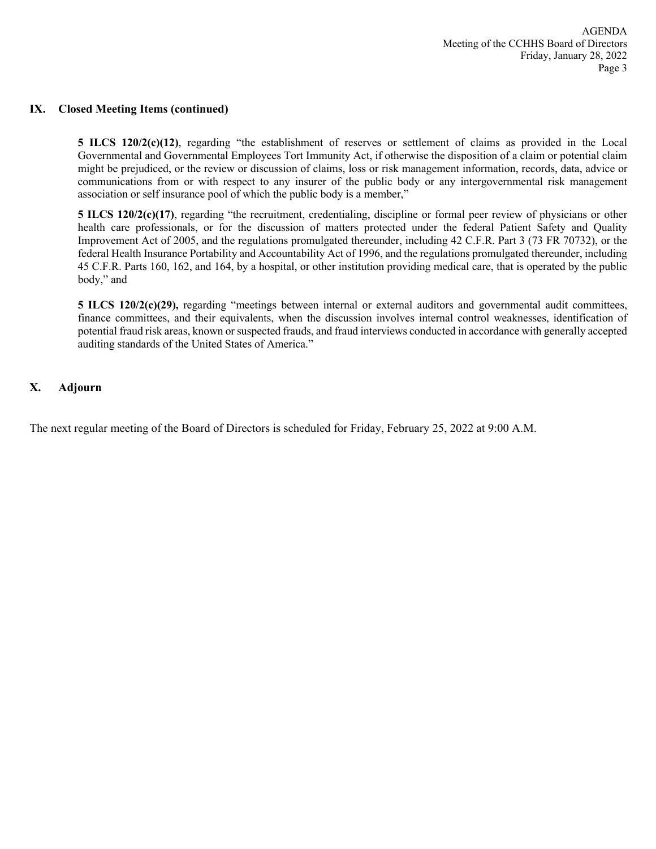#### **IX. Closed Meeting Items (continued)**

**5 ILCS 120/2(c)(12)**, regarding "the establishment of reserves or settlement of claims as provided in the Local Governmental and Governmental Employees Tort Immunity Act, if otherwise the disposition of a claim or potential claim might be prejudiced, or the review or discussion of claims, loss or risk management information, records, data, advice or communications from or with respect to any insurer of the public body or any intergovernmental risk management association or self insurance pool of which the public body is a member,"

**5 ILCS 120/2(c)(17)**, regarding "the recruitment, credentialing, discipline or formal peer review of physicians or other health care professionals, or for the discussion of matters protected under the federal Patient Safety and Quality Improvement Act of 2005, and the regulations promulgated thereunder, including 42 C.F.R. Part 3 (73 FR 70732), or the federal Health Insurance Portability and Accountability Act of 1996, and the regulations promulgated thereunder, including 45 C.F.R. Parts 160, 162, and 164, by a hospital, or other institution providing medical care, that is operated by the public body," and

**5 ILCS 120/2(c)(29),** regarding "meetings between internal or external auditors and governmental audit committees, finance committees, and their equivalents, when the discussion involves internal control weaknesses, identification of potential fraud risk areas, known or suspected frauds, and fraud interviews conducted in accordance with generally accepted auditing standards of the United States of America."

### **X. Adjourn**

The next regular meeting of the Board of Directors is scheduled for Friday, February 25, 2022 at 9:00 A.M.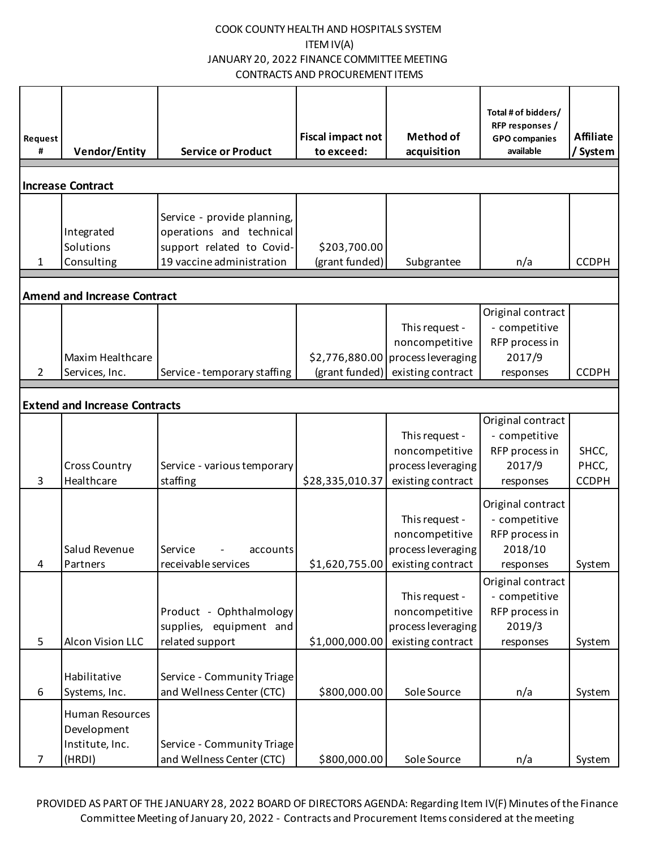| Request<br>#   | <b>Vendor/Entity</b>                                        | <b>Service or Product</b>                                                                                         | <b>Fiscal impact not</b><br>to exceed: | <b>Method of</b><br>acquisition                                                             | Total # of bidders/<br>RFP responses /<br><b>GPO</b> companies<br>available  | <b>Affiliate</b><br>/ System   |
|----------------|-------------------------------------------------------------|-------------------------------------------------------------------------------------------------------------------|----------------------------------------|---------------------------------------------------------------------------------------------|------------------------------------------------------------------------------|--------------------------------|
|                | <b>Increase Contract</b>                                    |                                                                                                                   |                                        |                                                                                             |                                                                              |                                |
| $\mathbf{1}$   | Integrated<br>Solutions<br>Consulting                       | Service - provide planning,<br>operations and technical<br>support related to Covid-<br>19 vaccine administration | \$203,700.00<br>(grant funded)         | Subgrantee                                                                                  | n/a                                                                          | <b>CCDPH</b>                   |
|                | <b>Amend and Increase Contract</b>                          |                                                                                                                   |                                        |                                                                                             |                                                                              |                                |
| $\overline{2}$ | Maxim Healthcare<br>Services, Inc.                          | Service - temporary staffing                                                                                      | (grant funded)                         | This request -<br>noncompetitive<br>\$2,776,880.00 process leveraging<br>existing contract  | Original contract<br>- competitive<br>RFP process in<br>2017/9<br>responses  | <b>CCDPH</b>                   |
|                | <b>Extend and Increase Contracts</b>                        |                                                                                                                   |                                        |                                                                                             |                                                                              |                                |
| 3              | <b>Cross Country</b><br>Healthcare                          | Service - various temporary<br>staffing                                                                           | \$28,335,010.37                        | This request -<br>noncompetitive<br>process leveraging<br>existing contract                 | Original contract<br>- competitive<br>RFP process in<br>2017/9<br>responses  | SHCC,<br>PHCC,<br><b>CCDPH</b> |
|                | Salud Revenue<br>Partners                                   | Service<br>accounts<br>receivable services                                                                        |                                        | This request -<br>noncompetitive<br>process leveraging<br>$$1,620,755.00$ existing contract | Original contract<br>- competitive<br>RFP process in<br>2018/10<br>responses | System                         |
| 5              | Alcon Vision LLC                                            | Product - Ophthalmology<br>supplies, equipment and<br>related support                                             | \$1,000,000.00                         | This request -<br>noncompetitive<br>process leveraging<br>existing contract                 | Original contract<br>- competitive<br>RFP process in<br>2019/3<br>responses  | System                         |
| 6              | Habilitative<br>Systems, Inc.                               | Service - Community Triage<br>and Wellness Center (CTC)                                                           | \$800,000.00                           | Sole Source                                                                                 | n/a                                                                          | System                         |
| 7              | Human Resources<br>Development<br>Institute, Inc.<br>(HRDI) | Service - Community Triage<br>and Wellness Center (CTC)                                                           | \$800,000.00                           | Sole Source                                                                                 | n/a                                                                          | System                         |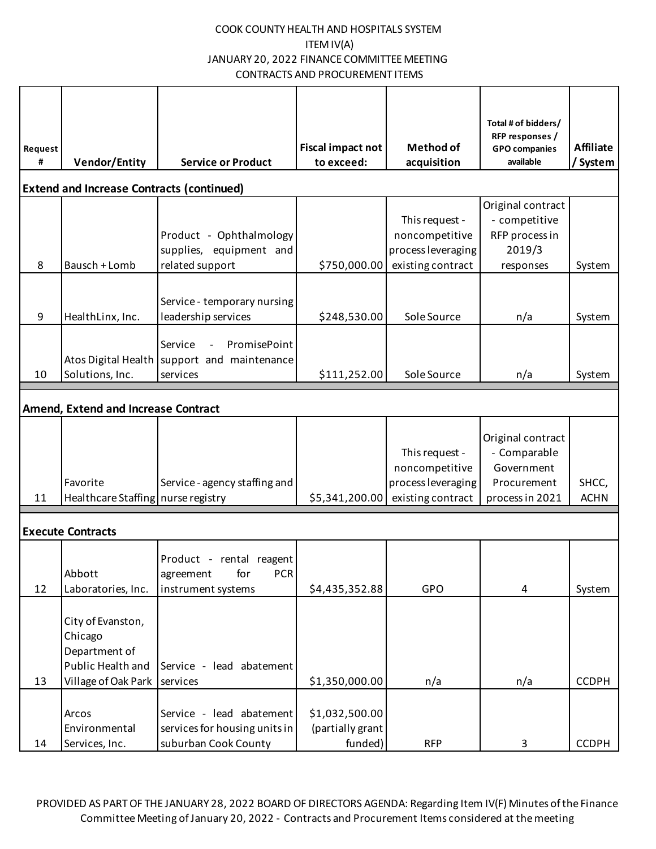| Request |                                                                                           |                                                                                    | Fiscal impact not                             | <b>Method of</b>                                                            | Total # of bidders/<br>RFP responses /<br><b>GPO</b> companies                    | <b>Affiliate</b>     |
|---------|-------------------------------------------------------------------------------------------|------------------------------------------------------------------------------------|-----------------------------------------------|-----------------------------------------------------------------------------|-----------------------------------------------------------------------------------|----------------------|
| #       | <b>Vendor/Entity</b>                                                                      | <b>Service or Product</b>                                                          | to exceed:                                    | acquisition                                                                 | available                                                                         | / System             |
|         | <b>Extend and Increase Contracts (continued)</b>                                          |                                                                                    |                                               |                                                                             |                                                                                   |                      |
| 8       | Bausch + Lomb                                                                             | Product - Ophthalmology<br>supplies, equipment and<br>related support              | \$750,000.00                                  | This request -<br>noncompetitive<br>process leveraging<br>existing contract | Original contract<br>- competitive<br>RFP process in<br>2019/3<br>responses       | System               |
| 9       | HealthLinx, Inc.                                                                          | Service - temporary nursing<br>leadership services                                 | \$248,530.00                                  | Sole Source                                                                 | n/a                                                                               | System               |
| 10      | Solutions, Inc.                                                                           | PromisePoint<br>Service<br>Atos Digital Health support and maintenance<br>services | \$111,252.00                                  | Sole Source                                                                 | n/a                                                                               | System               |
|         | <b>Amend, Extend and Increase Contract</b>                                                |                                                                                    |                                               |                                                                             |                                                                                   |                      |
| 11      | Favorite<br>Healthcare Staffing   nurse registry                                          | Service - agency staffing and                                                      | \$5,341,200.00                                | This request -<br>noncompetitive<br>process leveraging<br>existing contract | Original contract<br>- Comparable<br>Government<br>Procurement<br>process in 2021 | SHCC,<br><b>ACHN</b> |
|         | <b>Execute Contracts</b>                                                                  |                                                                                    |                                               |                                                                             |                                                                                   |                      |
| 12      | Abbott<br>Laboratories, Inc.                                                              | Product - rental reagent<br>for<br><b>PCR</b><br>agreement<br>instrument systems   | \$4,435,352.88                                | GPO                                                                         | $\overline{4}$                                                                    | System               |
| 13      | City of Evanston,<br>Chicago<br>Department of<br>Public Health and<br>Village of Oak Park | Service - lead abatement<br>services                                               | \$1,350,000.00                                | n/a                                                                         | n/a                                                                               | <b>CCDPH</b>         |
| 14      | Arcos<br>Environmental<br>Services, Inc.                                                  | Service - lead abatement<br>services for housing units in<br>suburban Cook County  | \$1,032,500.00<br>(partially grant<br>funded) | <b>RFP</b>                                                                  | 3                                                                                 | <b>CCDPH</b>         |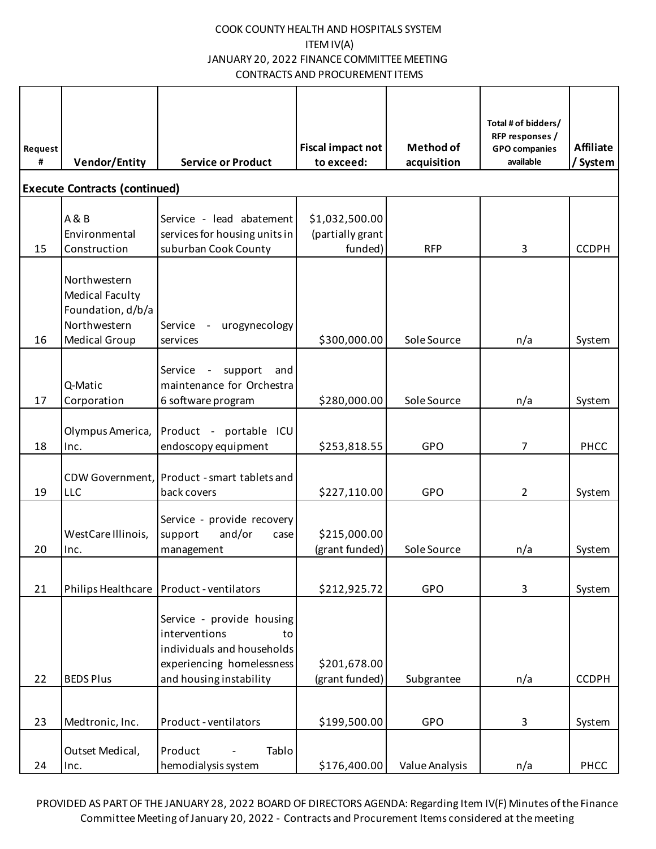|              |                                                                                                     |                                                                                                             |                                 |                                 | Total # of bidders/<br>RFP responses / |                              |
|--------------|-----------------------------------------------------------------------------------------------------|-------------------------------------------------------------------------------------------------------------|---------------------------------|---------------------------------|----------------------------------------|------------------------------|
| Request<br># | <b>Vendor/Entity</b>                                                                                | <b>Service or Product</b>                                                                                   | Fiscal impact not<br>to exceed: | <b>Method of</b><br>acquisition | <b>GPO</b> companies<br>available      | <b>Affiliate</b><br>/ System |
|              |                                                                                                     |                                                                                                             |                                 |                                 |                                        |                              |
|              | <b>Execute Contracts (continued)</b>                                                                |                                                                                                             |                                 |                                 |                                        |                              |
|              | <b>A&amp;B</b>                                                                                      | Service - lead abatement                                                                                    | \$1,032,500.00                  |                                 |                                        |                              |
|              | Environmental                                                                                       | services for housing units in                                                                               | (partially grant                |                                 |                                        |                              |
| 15           | Construction                                                                                        | suburban Cook County                                                                                        | funded)                         | <b>RFP</b>                      | 3                                      | <b>CCDPH</b>                 |
| 16           | Northwestern<br><b>Medical Faculty</b><br>Foundation, d/b/a<br>Northwestern<br><b>Medical Group</b> | urogynecology<br>Service -<br>services                                                                      | \$300,000.00                    | Sole Source                     | n/a                                    | System                       |
|              |                                                                                                     |                                                                                                             |                                 |                                 |                                        |                              |
|              | Q-Matic                                                                                             | support<br>Service<br>and<br>maintenance for Orchestra                                                      |                                 |                                 |                                        |                              |
| 17           | Corporation                                                                                         | 6 software program                                                                                          | \$280,000.00                    | Sole Source                     | n/a                                    | System                       |
|              |                                                                                                     |                                                                                                             |                                 |                                 |                                        |                              |
|              | Olympus America,                                                                                    | Product - portable ICU                                                                                      |                                 |                                 |                                        |                              |
| 18           | Inc.                                                                                                | endoscopy equipment                                                                                         | \$253,818.55                    | GPO                             | 7                                      | PHCC                         |
|              |                                                                                                     | CDW Government, Product - smart tablets and                                                                 |                                 |                                 |                                        |                              |
| 19           | <b>LLC</b>                                                                                          | back covers                                                                                                 | \$227,110.00                    | GPO                             | 2                                      | System                       |
|              |                                                                                                     | Service - provide recovery                                                                                  |                                 |                                 |                                        |                              |
|              | WestCare Illinois,                                                                                  | and/or<br>support<br>case                                                                                   | \$215,000.00                    |                                 |                                        |                              |
| 20           | Inc.                                                                                                | management                                                                                                  | (grant funded)                  | Sole Source                     | n/a                                    | System                       |
|              |                                                                                                     |                                                                                                             |                                 |                                 |                                        |                              |
| 21           |                                                                                                     | Philips Healthcare   Product - ventilators                                                                  | \$212,925.72                    | GPO                             | 3                                      | System                       |
|              |                                                                                                     | Service - provide housing<br>interventions<br>to<br>individuals and households<br>experiencing homelessness | \$201,678.00                    |                                 |                                        |                              |
| 22           | <b>BEDS Plus</b>                                                                                    | and housing instability                                                                                     | (grant funded)                  | Subgrantee                      | n/a                                    | <b>CCDPH</b>                 |
| 23           | Medtronic, Inc.                                                                                     | Product - ventilators                                                                                       | \$199,500.00                    | GPO                             | 3                                      | System                       |
| 24           | Outset Medical,<br>Inc.                                                                             | Tablo<br>Product<br>hemodialysis system                                                                     | \$176,400.00                    | Value Analysis                  | n/a                                    | PHCC                         |